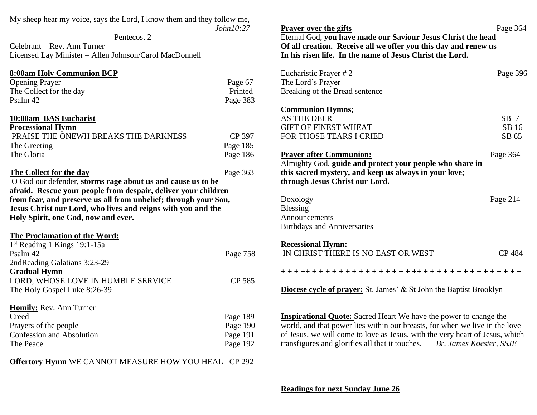| My sheep hear my voice, says the Lord, I know them and they follow me,                               |           |                                                                                                                             |                         |
|------------------------------------------------------------------------------------------------------|-----------|-----------------------------------------------------------------------------------------------------------------------------|-------------------------|
|                                                                                                      | John10:27 | <b>Prayer over the gifts</b>                                                                                                | Page 364                |
| Pentecost 2<br>Celebrant – Rev. Ann Turner<br>Licensed Lay Minister - Allen Johnson/Carol MacDonnell |           | Eternal God, you have made our Saviour Jesus Christ the head                                                                |                         |
|                                                                                                      |           | Of all creation. Receive all we offer you this day and renew us<br>In his risen life. In the name of Jesus Christ the Lord. |                         |
|                                                                                                      |           |                                                                                                                             |                         |
| <b>Opening Prayer</b>                                                                                | Page 67   | The Lord's Prayer                                                                                                           |                         |
| The Collect for the day                                                                              | Printed   | Breaking of the Bread sentence                                                                                              |                         |
| Psalm 42                                                                                             | Page 383  |                                                                                                                             |                         |
|                                                                                                      |           | <b>Communion Hymns;</b>                                                                                                     |                         |
| 10:00am BAS Eucharist                                                                                |           | <b>AS THE DEER</b>                                                                                                          | $SB$ 7                  |
| <b>Processional Hymn</b>                                                                             |           | <b>GIFT OF FINEST WHEAT</b>                                                                                                 | SB 16                   |
| PRAISE THE ONEWH BREAKS THE DARKNESS                                                                 | CP 397    | FOR THOSE TEARS I CRIED                                                                                                     | SB 65                   |
| The Greeting                                                                                         | Page 185  |                                                                                                                             |                         |
| The Gloria                                                                                           | Page 186  | <b>Prayer after Communion:</b>                                                                                              | Page 364                |
|                                                                                                      |           | Almighty God, guide and protect your people who share in                                                                    |                         |
| The Collect for the day                                                                              | Page 363  | this sacred mystery, and keep us always in your love;                                                                       |                         |
| O God our defender, storms rage about us and cause us to be                                          |           | through Jesus Christ our Lord.                                                                                              |                         |
| afraid. Rescue your people from despair, deliver your children                                       |           |                                                                                                                             |                         |
| from fear, and preserve us all from unbelief; through your Son,                                      |           | Doxology                                                                                                                    | Page 214                |
| Jesus Christ our Lord, who lives and reigns with you and the                                         |           | <b>Blessing</b>                                                                                                             |                         |
| Holy Spirit, one God, now and ever.                                                                  |           | Announcements                                                                                                               |                         |
|                                                                                                      |           | <b>Birthdays and Anniversaries</b>                                                                                          |                         |
| The Proclamation of the Word:                                                                        |           |                                                                                                                             |                         |
| 1st Reading 1 Kings 19:1-15a                                                                         |           | <b>Recessional Hymn:</b>                                                                                                    |                         |
| Psalm 42                                                                                             | Page 758  | IN CHRIST THERE IS NO EAST OR WEST                                                                                          | CP 484                  |
| 2ndReading Galatians 3:23-29                                                                         |           |                                                                                                                             |                         |
| <b>Gradual Hymn</b>                                                                                  |           |                                                                                                                             |                         |
| LORD, WHOSE LOVE IN HUMBLE SERVICE                                                                   | CP 585    |                                                                                                                             |                         |
| The Holy Gospel Luke 8:26-39                                                                         |           | <b>Diocese cycle of prayer:</b> St. James' & St John the Baptist Brooklyn                                                   |                         |
| Homily: Rev. Ann Turner                                                                              |           |                                                                                                                             |                         |
| Creed                                                                                                | Page 189  | <b>Inspirational Quote:</b> Sacred Heart We have the power to change the                                                    |                         |
| Prayers of the people                                                                                | Page 190  | world, and that power lies within our breasts, for when we live in the love                                                 |                         |
| <b>Confession and Absolution</b>                                                                     | Page 191  | of Jesus, we will come to love as Jesus, with the very heart of Jesus, which                                                |                         |
| The Peace                                                                                            | Page 192  | transfigures and glorifies all that it touches.                                                                             | Br. James Koester, SSJE |
|                                                                                                      |           |                                                                                                                             |                         |

**Offertory Hymn** WE CANNOT MEASURE HOW YOU HEAL CP 292

**Readings for next Sunday June 26**